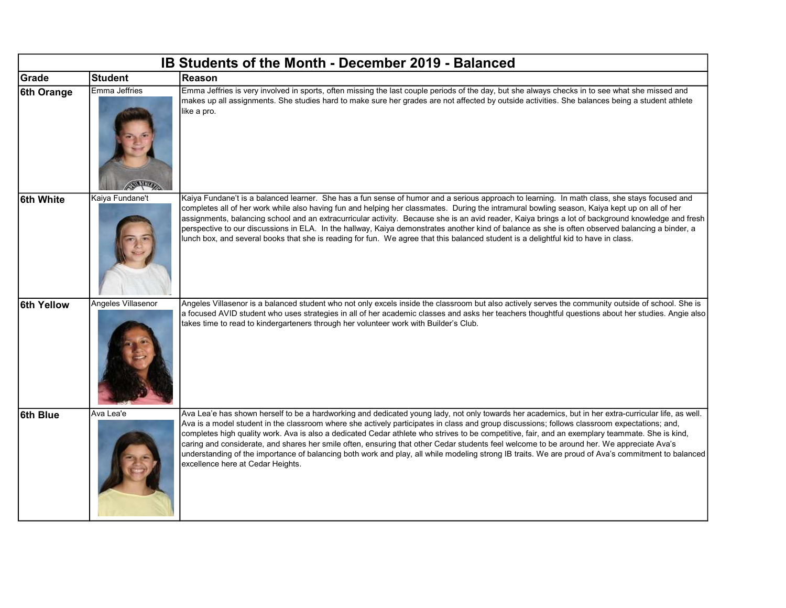| IB Students of the Month - December 2019 - Balanced |                    |                                                                                                                                                                                                                                                                                                                                                                                                                                                                                                                                                                                                                                                                                                                                                                                                 |  |  |  |
|-----------------------------------------------------|--------------------|-------------------------------------------------------------------------------------------------------------------------------------------------------------------------------------------------------------------------------------------------------------------------------------------------------------------------------------------------------------------------------------------------------------------------------------------------------------------------------------------------------------------------------------------------------------------------------------------------------------------------------------------------------------------------------------------------------------------------------------------------------------------------------------------------|--|--|--|
| Grade                                               | <b>Student</b>     | Reason                                                                                                                                                                                                                                                                                                                                                                                                                                                                                                                                                                                                                                                                                                                                                                                          |  |  |  |
| 6th Orange                                          | Emma Jeffries      | Emma Jeffries is very involved in sports, often missing the last couple periods of the day, but she always checks in to see what she missed and<br>makes up all assignments. She studies hard to make sure her grades are not affected by outside activities. She balances being a student athlete<br>like a pro.                                                                                                                                                                                                                                                                                                                                                                                                                                                                               |  |  |  |
| 6th White                                           | Kaiya Fundane't    | Kaiya Fundane't is a balanced learner. She has a fun sense of humor and a serious approach to learning. In math class, she stays focused and<br>completes all of her work while also having fun and helping her classmates. During the intramural bowling season, Kaiya kept up on all of her<br>assignments, balancing school and an extracurricular activity. Because she is an avid reader, Kaiya brings a lot of background knowledge and fresh<br>perspective to our discussions in ELA. In the hallway, Kaiya demonstrates another kind of balance as she is often observed balancing a binder, a<br>lunch box, and several books that she is reading for fun. We agree that this balanced student is a delightful kid to have in class.                                                  |  |  |  |
| <b>6th Yellow</b>                                   | Angeles Villasenor | Angeles Villasenor is a balanced student who not only excels inside the classroom but also actively serves the community outside of school. She is<br>a focused AVID student who uses strategies in all of her academic classes and asks her teachers thoughtful questions about her studies. Angie also<br>takes time to read to kindergarteners through her volunteer work with Builder's Club.                                                                                                                                                                                                                                                                                                                                                                                               |  |  |  |
| 6th Blue                                            | Ava Lea'e          | Ava Lea'e has shown herself to be a hardworking and dedicated young lady, not only towards her academics, but in her extra-curricular life, as well.<br>Ava is a model student in the classroom where she actively participates in class and group discussions; follows classroom expectations; and,<br>completes high quality work. Ava is also a dedicated Cedar athlete who strives to be competitive, fair, and an exemplary teammate. She is kind,<br>caring and considerate, and shares her smile often, ensuring that other Cedar students feel welcome to be around her. We appreciate Ava's<br>understanding of the importance of balancing both work and play, all while modeling strong IB traits. We are proud of Ava's commitment to balanced<br>excellence here at Cedar Heights. |  |  |  |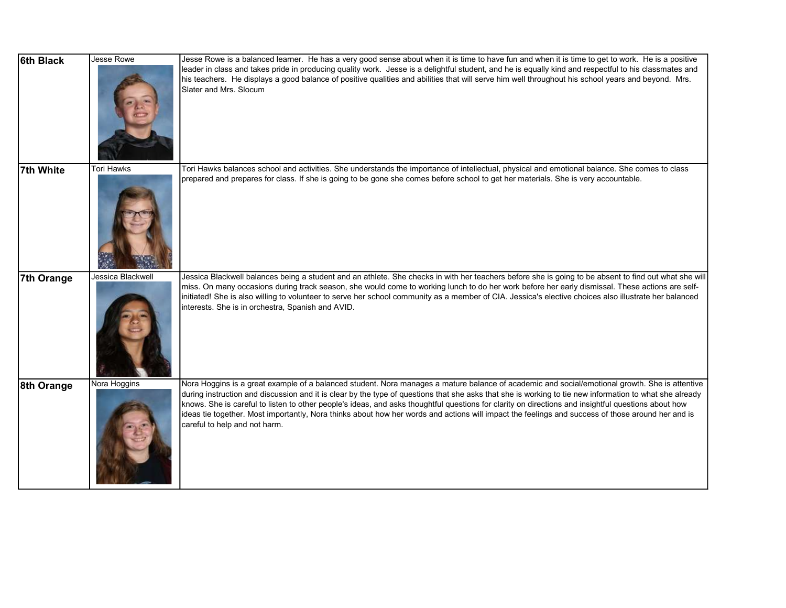| 6th Black  | Jesse Rowe        | Jesse Rowe is a balanced learner. He has a very good sense about when it is time to have fun and when it is time to get to work. He is a positive                                                                                                                                                                                                                                                                                                                                                                                                                                                                                                      |
|------------|-------------------|--------------------------------------------------------------------------------------------------------------------------------------------------------------------------------------------------------------------------------------------------------------------------------------------------------------------------------------------------------------------------------------------------------------------------------------------------------------------------------------------------------------------------------------------------------------------------------------------------------------------------------------------------------|
|            |                   | leader in class and takes pride in producing quality work. Jesse is a delightful student, and he is equally kind and respectful to his classmates and<br>his teachers. He displays a good balance of positive qualities and abilities that will serve him well throughout his school years and beyond. Mrs.<br>Slater and Mrs. Slocum                                                                                                                                                                                                                                                                                                                  |
| 7th White  | <b>Tori Hawks</b> | Tori Hawks balances school and activities. She understands the importance of intellectual, physical and emotional balance. She comes to class                                                                                                                                                                                                                                                                                                                                                                                                                                                                                                          |
|            |                   | prepared and prepares for class. If she is going to be gone she comes before school to get her materials. She is very accountable.                                                                                                                                                                                                                                                                                                                                                                                                                                                                                                                     |
| 7th Orange | Jessica Blackwell | Jessica Blackwell balances being a student and an athlete. She checks in with her teachers before she is going to be absent to find out what she will                                                                                                                                                                                                                                                                                                                                                                                                                                                                                                  |
|            |                   | miss. On many occasions during track season, she would come to working lunch to do her work before her early dismissal. These actions are self-<br>initiated! She is also willing to volunteer to serve her school community as a member of CIA. Jessica's elective choices also illustrate her balanced<br>interests. She is in orchestra, Spanish and AVID.                                                                                                                                                                                                                                                                                          |
| 8th Orange | Nora Hoggins      | Nora Hoggins is a great example of a balanced student. Nora manages a mature balance of academic and social/emotional growth. She is attentive<br>during instruction and discussion and it is clear by the type of questions that she asks that she is working to tie new information to what she already<br>knows. She is careful to listen to other people's ideas, and asks thoughtful questions for clarity on directions and insightful questions about how<br>ideas tie together. Most importantly, Nora thinks about how her words and actions will impact the feelings and success of those around her and is<br>careful to help and not harm. |